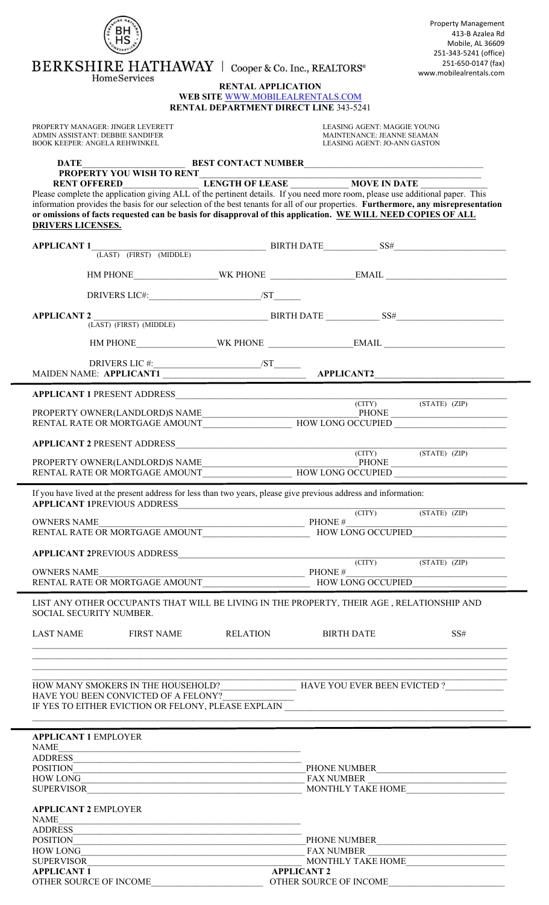|                                                                                                                                                                                                                                                                           | <b>Property Management</b><br>413-B Azalea Rd<br>Mobile, AL 36609                                                                                                                                                                                                                                                                                                                                                                                                                               |  |  |  |  |
|---------------------------------------------------------------------------------------------------------------------------------------------------------------------------------------------------------------------------------------------------------------------------|-------------------------------------------------------------------------------------------------------------------------------------------------------------------------------------------------------------------------------------------------------------------------------------------------------------------------------------------------------------------------------------------------------------------------------------------------------------------------------------------------|--|--|--|--|
| BERKSHIRE HATHAWAY   Cooper & Co. Inc., REALTORS®                                                                                                                                                                                                                         | 251-343-5241 (office)<br>251-650-0147 (fax)<br>www.mobilealrentals.com                                                                                                                                                                                                                                                                                                                                                                                                                          |  |  |  |  |
| HomeServices<br><b>RENTAL APPLICATION</b><br>WEB SITE WWW.MOBILEALRENTALS.COM                                                                                                                                                                                             |                                                                                                                                                                                                                                                                                                                                                                                                                                                                                                 |  |  |  |  |
|                                                                                                                                                                                                                                                                           | <b>RENTAL DEPARTMENT DIRECT LINE 343-5241</b>                                                                                                                                                                                                                                                                                                                                                                                                                                                   |  |  |  |  |
| PROPERTY MANAGER: JINGER LEVERETT<br>ADMIN ASSISTANT: DEBBIE SANDIFER<br><b>BOOK KEEPER: ANGELA REHWINKEL</b>                                                                                                                                                             | LEASING AGENT: MAGGIE YOUNG<br>MAINTENANCE: JEANNE SEAMAN<br>LEASING AGENT: JO-ANN GASTON                                                                                                                                                                                                                                                                                                                                                                                                       |  |  |  |  |
|                                                                                                                                                                                                                                                                           |                                                                                                                                                                                                                                                                                                                                                                                                                                                                                                 |  |  |  |  |
| Please complete the application giving ALL of the pertinent details. If you need more room, please use additional paper. This<br>or omissions of facts requested can be basis for disapproval of this application. WE WILL NEED COPIES OF ALL<br><b>DRIVERS LICENSES.</b> | information provides the basis for our selection of the best tenants for all of our properties. Furthermore, any misrepresentation                                                                                                                                                                                                                                                                                                                                                              |  |  |  |  |
|                                                                                                                                                                                                                                                                           |                                                                                                                                                                                                                                                                                                                                                                                                                                                                                                 |  |  |  |  |
|                                                                                                                                                                                                                                                                           |                                                                                                                                                                                                                                                                                                                                                                                                                                                                                                 |  |  |  |  |
|                                                                                                                                                                                                                                                                           |                                                                                                                                                                                                                                                                                                                                                                                                                                                                                                 |  |  |  |  |
|                                                                                                                                                                                                                                                                           |                                                                                                                                                                                                                                                                                                                                                                                                                                                                                                 |  |  |  |  |
| <b>APPLICANT 2</b><br>$(LAST)$ (FIRST) (MIDDLE)                                                                                                                                                                                                                           | $BIRTH\,DATE$ SS#                                                                                                                                                                                                                                                                                                                                                                                                                                                                               |  |  |  |  |
|                                                                                                                                                                                                                                                                           |                                                                                                                                                                                                                                                                                                                                                                                                                                                                                                 |  |  |  |  |
|                                                                                                                                                                                                                                                                           |                                                                                                                                                                                                                                                                                                                                                                                                                                                                                                 |  |  |  |  |
| <b>APPLICANT 1 PRESENT ADDRESS</b>                                                                                                                                                                                                                                        | (STATE) (ZIP)<br>$\left( \text{CITY} \right)$                                                                                                                                                                                                                                                                                                                                                                                                                                                   |  |  |  |  |
|                                                                                                                                                                                                                                                                           |                                                                                                                                                                                                                                                                                                                                                                                                                                                                                                 |  |  |  |  |
|                                                                                                                                                                                                                                                                           |                                                                                                                                                                                                                                                                                                                                                                                                                                                                                                 |  |  |  |  |
|                                                                                                                                                                                                                                                                           |                                                                                                                                                                                                                                                                                                                                                                                                                                                                                                 |  |  |  |  |
| If you have lived at the present address for less than two years, please give previous address and information:                                                                                                                                                           |                                                                                                                                                                                                                                                                                                                                                                                                                                                                                                 |  |  |  |  |
|                                                                                                                                                                                                                                                                           | (CITY) (STATE) (ZIP)                                                                                                                                                                                                                                                                                                                                                                                                                                                                            |  |  |  |  |
|                                                                                                                                                                                                                                                                           |                                                                                                                                                                                                                                                                                                                                                                                                                                                                                                 |  |  |  |  |
| <b>APPLICANT 2PREVIOUS ADDRESS</b> (CITY) (STATE) (ZIP)                                                                                                                                                                                                                   |                                                                                                                                                                                                                                                                                                                                                                                                                                                                                                 |  |  |  |  |
|                                                                                                                                                                                                                                                                           | $\begin{tabular}{c} OWNERS NAME \\ RENTAL RATE OR MORTGAGE AMOUNT \end{tabular} \begin{tabular}{c} \multicolumn{2}{c} \multicolumn{2}{c} \multicolumn{2}{c} \multicolumn{2}{c} \multicolumn{2}{c} \multicolumn{2}{c} \multicolumn{2}{c} \multicolumn{2}{c} \multicolumn{2}{c} \multicolumn{2}{c} \multicolumn{2}{c} \multicolumn{2}{c} \multicolumn{2}{c} \multicolumn{2}{c} \multicolumn{2}{c} \multicolumn{2}{c} \multicolumn{2}{c} \multicolumn{2}{c} \multicolumn{2}{c} \multicolumn{2}{c}$ |  |  |  |  |
| LIST ANY OTHER OCCUPANTS THAT WILL BE LIVING IN THE PROPERTY, THEIR AGE, RELATIONSHIP AND<br>SOCIAL SECURITY NUMBER.                                                                                                                                                      |                                                                                                                                                                                                                                                                                                                                                                                                                                                                                                 |  |  |  |  |
| LAST NAME FIRST NAME RELATION                                                                                                                                                                                                                                             | <b>BIRTH DATE</b><br>SS#                                                                                                                                                                                                                                                                                                                                                                                                                                                                        |  |  |  |  |
|                                                                                                                                                                                                                                                                           |                                                                                                                                                                                                                                                                                                                                                                                                                                                                                                 |  |  |  |  |
| HAVE YOU BEEN CONVICTED OF A FELONY?<br>IF YES TO EITHER EVICTION OR FELONY, PLEASE EXPLAIN _____________________________                                                                                                                                                 | HOW MANY SMOKERS IN THE HOUSEHOLD?_______________________HAVE YOU EVER BEEN EVICTED ?______________                                                                                                                                                                                                                                                                                                                                                                                             |  |  |  |  |
| <b>APPLICANT 1 EMPLOYER</b>                                                                                                                                                                                                                                               |                                                                                                                                                                                                                                                                                                                                                                                                                                                                                                 |  |  |  |  |
| NAME<br><u> 1989 - Johann John Stone, mars and deutscher Stone († 1951)</u><br>ADDRESS                                                                                                                                                                                    |                                                                                                                                                                                                                                                                                                                                                                                                                                                                                                 |  |  |  |  |
| <b>POSITION</b><br><u> 1989 - Johann Stoff, deutscher Stoffen und der Stoffen und der Stoffen und der Stoffen und der Stoffen und der</u>                                                                                                                                 | PHONE NUMBER<br>HOW LONG<br>SUPERVISOR<br>NONTHLY TAKE HOME                                                                                                                                                                                                                                                                                                                                                                                                                                     |  |  |  |  |
| <b>APPLICANT 2 EMPLOYER</b>                                                                                                                                                                                                                                               |                                                                                                                                                                                                                                                                                                                                                                                                                                                                                                 |  |  |  |  |
| <b>NAME</b><br><b>ADDRESS</b>                                                                                                                                                                                                                                             |                                                                                                                                                                                                                                                                                                                                                                                                                                                                                                 |  |  |  |  |
| <b>POSITION</b><br><b>HOW LONG</b>                                                                                                                                                                                                                                        | PHONE NUMBER<br><b>FAX NUMBER</b>                                                                                                                                                                                                                                                                                                                                                                                                                                                               |  |  |  |  |
| <b>SUPERVISOR</b>                                                                                                                                                                                                                                                         | MONTHLY TAKE HOME                                                                                                                                                                                                                                                                                                                                                                                                                                                                               |  |  |  |  |
| <b>APPLICANT 1</b><br>OTHER SOURCE OF INCOME                                                                                                                                                                                                                              | <b>APPLICANT 2</b><br>OTHER SOURCE OF INCOME                                                                                                                                                                                                                                                                                                                                                                                                                                                    |  |  |  |  |